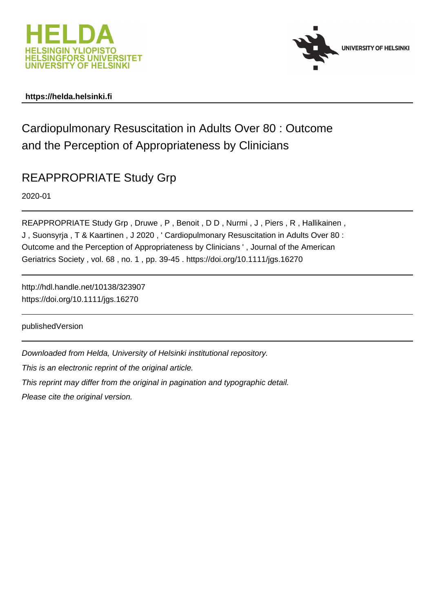



# **https://helda.helsinki.fi**

# Cardiopulmonary Resuscitation in Adults Over 80 : Outcome and the Perception of Appropriateness by Clinicians

# REAPPROPRIATE Study Grp

2020-01

REAPPROPRIATE Study Grp, Druwe, P, Benoit, DD, Nurmi, J, Piers, R, Hallikainen, J , Suonsyrja , T & Kaartinen , J 2020 , ' Cardiopulmonary Resuscitation in Adults Over 80 : Outcome and the Perception of Appropriateness by Clinicians ' , Journal of the American Geriatrics Society , vol. 68 , no. 1 , pp. 39-45 . https://doi.org/10.1111/jgs.16270

http://hdl.handle.net/10138/323907 https://doi.org/10.1111/jgs.16270

publishedVersion

Downloaded from Helda, University of Helsinki institutional repository.

This is an electronic reprint of the original article.

This reprint may differ from the original in pagination and typographic detail.

Please cite the original version.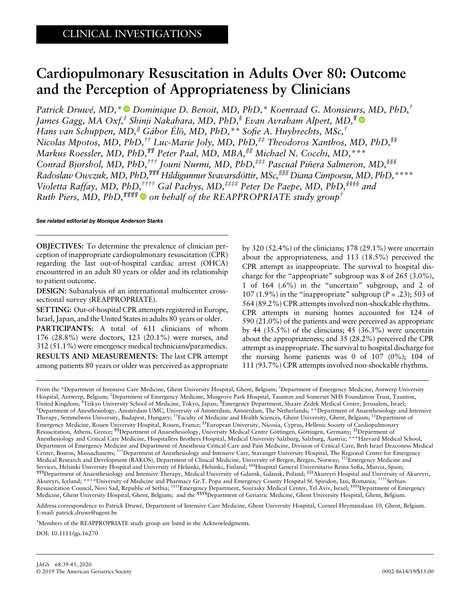# Cardiopulmonary Resuscitation in Adults Over 80: Outcome and the Perception of Appropriateness by Clinicians

Patrick Druwé, MD, \* D Dominique D. Benoit, MD, PhD, \* Koenraad G. Monsieurs, MD, PhD, † James Gagg, MA Oxf,<sup>‡</sup> Shinji Nakahara, MD, PhD,<sup>§</sup> Evan Avraham Alpert, MD,<sup>¶</sup> Hans van Schuppen, MD,<sup>∥</sup> Gábor Élo, MD, PhD,\*\* So } fie A. Huybrechts, MSc,† Nicolas Mpotos, MD, PhD,<sup>††</sup> Luc-Marie Joly, MD, PhD,<sup>‡‡</sup> Theodoros Xanthos, MD, PhD,<sup>§§</sup> Markus Roessler, MD, PhD,¶¶ Peter Paal, MD, MBA,∥∥ Michael N. Cocchi, MD,\*\*\* Conrad Bjørshol, MD, PhD,<sup>†††</sup> Jouni Nurmi, MD, PhD,<sup>‡‡‡</sup> Pascual Piñera Salmeron, MD,<sup>§§§</sup> Radoslaw Owczuk, MD, PhD,<sup>¶¶¶</sup> Hildigunnur Svavarsdóttir, MSc,<sup>IIIII</sup> Diana Cimpoesu, MD, PhD, \*\*\*\* Violetta Raffay, MD, PhD,†††† Gal Pachys, MD,‡‡‡‡ Peter De Paepe, MD, PhD,§§§§ and Ruth Piers, MD, PhD,  $^{\$$   $\$$   $\$$  on behalf of the REAPPROPRIATE study group<sup>†</sup>

See related editorial by [Monique Anderson Starks](https://doi.org/10.1111/jgs.16269)

OBJECTIVES: To determine the prevalence of clinician perception of inappropriate cardiopulmonary resuscitation (CPR) regarding the last out-of-hospital cardiac arrest (OHCA) encountered in an adult 80 years or older and its relationship to patient outcome.

DESIGN: Subanalysis of an international multicenter crosssectional survey (REAPPROPRIATE).

SETTING: Out-of-hospital CPR attempts registered in Europe, Israel, Japan, and the United States in adults 80 years or older. PARTICIPANTS: A total of 611 clinicians of whom 176 (28.8%) were doctors, 123 (20.1%) were nurses, and 312 (51.1%) were emergency medical technicians/paramedics. RESULTS AND MEASUREMENTS: The last CPR attempt among patients 80 years or older was perceived as appropriate

by 320 (52.4%) of the clinicians; 178 (29.1%) were uncertain about the appropriateness, and 113 (18.5%) perceived the CPR attempt as inappropriate. The survival to hospital discharge for the "appropriate" subgroup was 8 of 265 (3.0%), 1 of 164 (.6%) in the "uncertain" subgroup, and 2 of 107 (1.9%) in the "inappropriate" subgroup  $(P = .23)$ ; 503 of 564 (89.2%) CPR attempts involved non-shockable rhythms. CPR attempts in nursing homes accounted for 124 of 590 (21.0%) of the patients and were perceived as appropriate by 44  $(35.5\%)$  of the clinicians; 45  $(36.3\%)$  were uncertain about the appropriateness; and 35 (28.2%) perceived the CPR attempt as inappropriate. The survival to hospital discharge for the nursing home patients was  $0$  of  $107$   $(0\%)$ ;  $104$  of 111 (93.7%) CPR attempts involved non-shockable rhythms.

From the \*Department of Intensive Care Medicine, Ghent University Hospital, Ghent, Belgium; † Department of Emergency Medicine, Antwerp University Hospital, Antwerp, Belgium; ‡ Department of Emergency Medicine, Musgrove Park Hospital, Taunton and Somerset NHS Foundation Trust, Taunton, United Kingdom; <sup>§</sup>Teikyo University School of Medicine, Tokyo, Japan; ¶Emergency Department, Shaare Zedek Medical Center, Jerusalem, Israel;<br><sup>∥</sup>Department of Anesthesiology, Amsterdam UMC, University of Amsterdam, Amster Department of Anesthesiology, Amsterdam UMC, University of Amsterdam, Amsterdam, The Netherlands; \*\*Department of Anaesthesiology and Intensive Therapy, Semmelweis University, Budapest, Hungary; ††Faculty of Medicine and Health Sciences, Ghent University, Ghent, Belgium; ‡‡Department of Emergency Medicine, Rouen University Hospital, Rouen, France; §§European University, Nicosia, Cyprus, Hellenic Society of Cardiopulmonary Resuscitation, Athens, Greece; ¶¶Department of Anaesthesiology, University Medical Centre Göttingen, Göttingen, Germany; ∥∥Department of Anesthesiology and Critical Care Medicine, Hospitallers Brothers Hospital, Medical University Salzburg, Salzburg, Austria; \*\*\*Harvard Medical School, Department of Emergency Medicine and Department of Anesthesia Critical Care and Pain Medicine, Division of Critical Care, Beth Israel Deaconess Medical Center, Boston, Massachusetts; †††Department of Anesthesiology and Intensive Care, Stavanger University Hospital, The Regional Centre for Emergency Medical Research and Development (RAKOS), Department of Clinical Medicine, University of Bergen, Bergen, Norway; ##Emergency Medicine and<br>Services, Helsinki University Hospital and University of Helsinki, Helsinki, Finland Services, Helsinki University Hospital and University of Helsinki, Helsinki, Finland; §§§Hospital General Universitario Reina Sofia, Murcia, Spain; ¶¶¶Department of Anaesthesiology and Intensive Therapy, Medical University of Gdansk, Gdansk, Poland; ∥∥∥Akureyri Hospital and University of Akureyri, Akureyri, Iceland; \*\*\*\*University of Medicine and Pharmacy Gr.T. Popa and Emergency County Hospital Sf. Spiridon, Iasi, Romania; ††††Serbian Resuscitation Council, Novi Sad, Republic of Serbia; <sup>####</sup>Emergency Department, Sourasky Medical Center, Tel Aviv, Israel; <sup>\$\$\$\$</sup>Department of Emergency Medicine, Ghent University Hospital, Ghent, Belgium; and the <sup>¶¶¶</sup>Department of Geriatric Medicine, Ghent University Hospital, Ghent, Belgium.

Address correspondence to Patrick Druwé, Department of Intensive Care Medicine, Ghent University Hospital, Corneel Heymanslaan 10, Ghent, Belgium. E-mail: [patrick.druwe@ugent.be](mailto:patrick.druwe@ugent.be)

† Members of the REAPPROPRIATE study group are listed in the Acknowledgments.

DOI: 10.1111/jgs.16270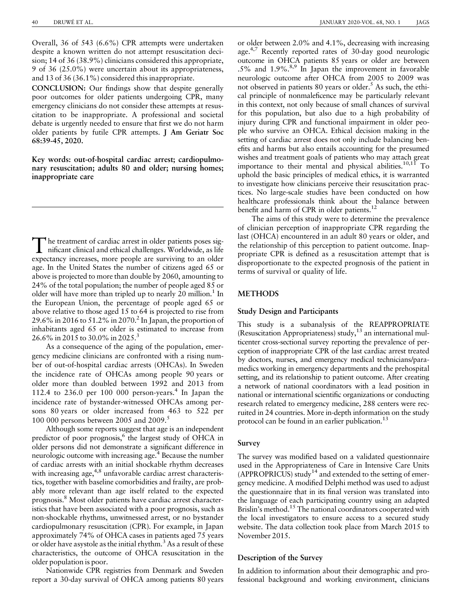Overall, 36 of 543 (6.6%) CPR attempts were undertaken despite a known written do not attempt resuscitation decision; 14 of 36 (38.9%) clinicians considered this appropriate, 9 of 36 (25.0%) were uncertain about its appropriateness, and 13 of 36 (36.1%) considered this inappropriate.

CONCLUSION: Our findings show that despite generally poor outcomes for older patients undergoing CPR, many emergency clinicians do not consider these attempts at resuscitation to be inappropriate. A professional and societal debate is urgently needed to ensure that first we do not harm older patients by futile CPR attempts. J Am Geriatr Soc 68:39-45, 2020.

Key words: out-of-hospital cardiac arrest; cardiopulmonary resuscitation; adults 80 and older; nursing homes; inappropriate care

The treatment of cardiac arrest in older patients poses significant clinical and ethical challenges. Worldwide, as life expectancy increases, more people are surviving to an older age. In the United States the number of citizens aged 65 or above is projected to more than double by 2060, amounting to 24% of the total population; the number of people aged 85 or older will have more than tripled up to nearly 20 million.<sup>1</sup> In the European Union, the percentage of people aged 65 or above relative to those aged 15 to 64 is projected to rise from 29.6% in 2016 to 51.2% in 2070.<sup>2</sup> In Japan, the proportion of inhabitants aged 65 or older is estimated to increase from 26.6% in 2015 to 30.0% in 2025.3

As a consequence of the aging of the population, emergency medicine clinicians are confronted with a rising number of out-of-hospital cardiac arrests (OHCAs). In Sweden the incidence rate of OHCAs among people 90 years or older more than doubled between 1992 and 2013 from 112.4 to 236.0 per 100 000 person-years.<sup>4</sup> In Japan the incidence rate of bystander-witnessed OHCAs among persons 80 years or older increased from 463 to 522 per 100 000 persons between 2005 and 2009.<sup>5</sup>

Although some reports suggest that age is an independent predictor of poor prognosis,<sup>6</sup> the largest study of OHCA in older persons did not demonstrate a significant difference in neurologic outcome with increasing age.<sup>4</sup> Because the number of cardiac arrests with an initial shockable rhythm decreases with increasing age,<sup>4,8</sup> unfavorable cardiac arrest characteristics, together with baseline comorbidities and frailty, are probably more relevant than age itself related to the expected prognosis.8 Most older patients have cardiac arrest characteristics that have been associated with a poor prognosis, such as non-shockable rhythms, unwitnessed arrest, or no bystander cardiopulmonary resuscitation (CPR). For example, in Japan approximately 74% of OHCA cases in patients aged 75 years or older have asystole as the initial rhythm.<sup>3</sup> As a result of these characteristics, the outcome of OHCA resuscitation in the older population is poor.

Nationwide CPR registries from Denmark and Sweden report a 30-day survival of OHCA among patients 80 years

or older between 2.0% and 4.1%, decreasing with increasing age.<sup>4,7</sup> Recently reported rates of 30-day good neurologic outcome in OHCA patients 85 years or older are between  $.5\%$  and  $1.9\%$ .<sup>8,9</sup> In Japan the improvement in favorable neurologic outcome after OHCA from 2005 to 2009 was not observed in patients 80 years or older.<sup>5</sup> As such, the ethical principle of nonmaleficence may be particularly relevant in this context, not only because of small chances of survival for this population, but also due to a high probability of injury during CPR and functional impairment in older people who survive an OHCA. Ethical decision making in the setting of cardiac arrest does not only include balancing benefits and harms but also entails accounting for the presumed wishes and treatment goals of patients who may attach great importance to their mental and physical abilities.<sup>10,11</sup> To uphold the basic principles of medical ethics, it is warranted to investigate how clinicians perceive their resuscitation practices. No large-scale studies have been conducted on how healthcare professionals think about the balance between benefit and harm of CPR in older patients.<sup>12</sup>

The aims of this study were to determine the prevalence of clinician perception of inappropriate CPR regarding the last (OHCA) encountered in an adult 80 years or older, and the relationship of this perception to patient outcome. Inappropriate CPR is defined as a resuscitation attempt that is disproportionate to the expected prognosis of the patient in terms of survival or quality of life.

# **METHODS**

# Study Design and Participants

This study is a subanalysis of the REAPPROPRIATE (Resuscitation Appropriateness) study, $13$  an international multicenter cross-sectional survey reporting the prevalence of perception of inappropriate CPR of the last cardiac arrest treated by doctors, nurses, and emergency medical technicians/paramedics working in emergency departments and the prehospital setting, and its relationship to patient outcome. After creating a network of national coordinators with a lead position in national or international scientific organizations or conducting research related to emergency medicine, 288 centers were recruited in 24 countries. More in-depth information on the study protocol can be found in an earlier publication.<sup>13</sup>

# Survey

The survey was modified based on a validated questionnaire used in the Appropriateness of Care in Intensive Care Units (APPROPRICUS) study<sup>14</sup> and extended to the setting of emergency medicine. A modified Delphi method was used to adjust the questionnaire that in its final version was translated into the language of each participating country using an adapted Brislin's method.<sup>15</sup> The national coordinators cooperated with the local investigators to ensure access to a secured study website. The data collection took place from March 2015 to November 2015.

# Description of the Survey

In addition to information about their demographic and professional background and working environment, clinicians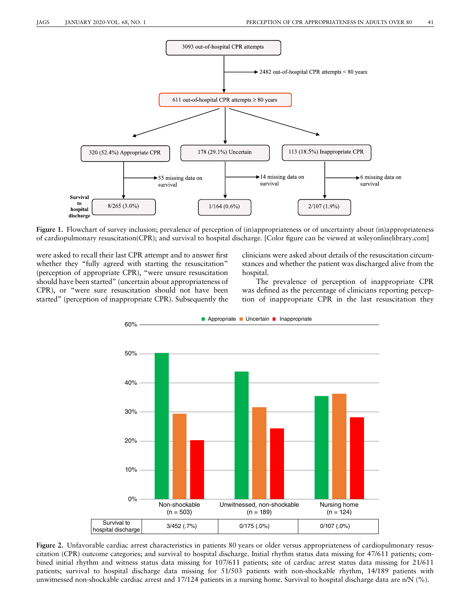

Figure 1. Flowchart of survey inclusion; prevalence of perception of (in)appropriateness or of uncertainty about (in)appropriateness of cardiopulmonary resuscitation(CPR); and survival to hospital discharge. [Color figure can be viewed at [wileyonlinelibrary.com](http://wileyonlinelibrary.com)]

were asked to recall their last CPR attempt and to answer first whether they "fully agreed with starting the resuscitation" (perception of appropriate CPR), "were unsure resuscitation should have been started" (uncertain about appropriateness of CPR), or "were sure resuscitation should not have been started" (perception of inappropriate CPR). Subsequently the

clinicians were asked about details of the resuscitation circumstances and whether the patient was discharged alive from the hospital.

The prevalence of perception of inappropriate CPR was defined as the percentage of clinicians reporting perception of inappropriate CPR in the last resuscitation they



Figure 2. Unfavorable cardiac arrest characteristics in patients 80 years or older versus appropriateness of cardiopulmonary resuscitation (CPR) outcome categories; and survival to hospital discharge. Initial rhythm status data missing for 47/611 patients; combined initial rhythm and witness status data missing for 107/611 patients; site of cardiac arrest status data missing for 21/611 patients; survival to hospital discharge data missing for 51/503 patients with non-shockable rhythm, 14/189 patients with unwitnessed non-shockable cardiac arrest and 17/124 patients in a nursing home. Survival to hospital discharge data are n/N (%).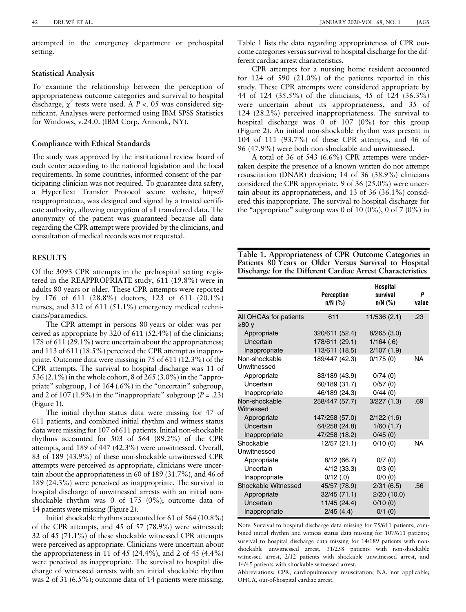attempted in the emergency department or prehospital setting.

# Statistical Analysis

To examine the relationship between the perception of appropriateness outcome categories and survival to hospital discharge,  $\chi^2$  tests were used. A P <. 05 was considered significant. Analyses were performed using IBM SPSS Statistics for Windows, v.24.0. (IBM Corp, Armonk, NY).

# Compliance with Ethical Standards

The study was approved by the institutional review board of each center according to the national legislation and the local requirements. In some countries, informed consent of the participating clinician was not required. To guarantee data safety, a HyperText Transfer Protocol secure website, [https://](https://reappropriate.eu) [reappropriate.eu](https://reappropriate.eu), was designed and signed by a trusted certificate authority, allowing encryption of all transferred data. The anonymity of the patient was guaranteed because all data regarding the CPR attempt were provided by the clinicians, and consultation of medical records was not requested.

# **RESULTS**

Of the 3093 CPR attempts in the prehospital setting registered in the REAPPROPRIATE study, 611 (19.8%) were in adults 80 years or older. These CPR attempts were reported by 176 of 611 (28.8%) doctors, 123 of 611 (20.1%) nurses, and 312 of 611 (51.1%) emergency medical technicians/paramedics.

The CPR attempt in persons 80 years or older was perceived as appropriate by 320 of 611 (52.4%) of the clinicians; 178 of 611 (29.1%) were uncertain about the appropriateness; and 113 of 611 (18.5%) perceived the CPR attempt as inappropriate. Outcome data were missing in 75 of 611 (12.3%) of the CPR attempts. The survival to hospital discharge was 11 of 536 (2.1%) in the whole cohort, 8 of 265 (3.0%) in the "appropriate" subgroup, 1 of 164 (.6%) in the "uncertain" subgroup, and 2 of 107 (1.9%) in the "inappropriate" subgroup ( $P = .23$ ) (Figure 1).

The initial rhythm status data were missing for 47 of 611 patients, and combined initial rhythm and witness status data were missing for 107 of 611 patients. Initial non-shockable rhythms accounted for 503 of 564 (89.2%) of the CPR attempts, and 189 of 447 (42.3%) were unwitnessed. Overall, 83 of 189 (43.9%) of these non-shockable unwitnessed CPR attempts were perceived as appropriate, clinicians were uncertain about the appropriateness in 60 of 189 (31.7%), and 46 of 189 (24.3%) were perceived as inappropriate. The survival to hospital discharge of unwitnessed arrests with an initial nonshockable rhythm was 0 of 175 (0%); outcome data of 14 patients were missing (Figure 2).

Initial shockable rhythms accounted for 61 of 564 (10.8%) of the CPR attempts, and 45 of 57 (78.9%) were witnessed; 32 of 45 (71.1%) of these shockable witnessed CPR attempts were perceived as appropriate. Clinicians were uncertain about the appropriateness in 11 of 45 (24.4%), and 2 of 45 (4.4%) were perceived as inappropriate. The survival to hospital discharge of witnessed arrests with an initial shockable rhythm was 2 of 31 (6.5%); outcome data of 14 patients were missing.

Table 1 lists the data regarding appropriateness of CPR outcome categories versus survival to hospital discharge for the different cardiac arrest characteristics.

CPR attempts for a nursing home resident accounted for 124 of 590 (21.0%) of the patients reported in this study. These CPR attempts were considered appropriate by 44 of 124 (35.5%) of the clinicians, 45 of 124 (36.3%) were uncertain about its appropriateness, and 35 of 124 (28.2%) perceived inappropriateness. The survival to hospital discharge was 0 of 107 (0%) for this group (Figure 2). An initial non-shockable rhythm was present in 104 of 111 (93.7%) of these CPR attempts, and 46 of 96 (47.9%) were both non-shockable and unwitnessed.

A total of 36 of 543 (6.6%) CPR attempts were undertaken despite the presence of a known written do not attempt resuscitation (DNAR) decision; 14 of 36 (38.9%) clinicians considered the CPR appropriate, 9 of 36 (25.0%) were uncertain about its appropriateness, and 13 of 36 (36.1%) considered this inappropriate. The survival to hospital discharge for the "appropriate" subgroup was 0 of 10  $(0\%)$ , 0 of 7  $(0\%)$  in

Table 1. Appropriateness of CPR Outcome Categories in Patients 80 Years or Older Versus Survival to Hospital Discharge for the Different Cardiac Arrest Characteristics

|                              | <b>Perception</b><br>$n/N$ (%) | <b>Hospital</b><br>survival<br>$n/N$ (%) | Ρ<br>value |
|------------------------------|--------------------------------|------------------------------------------|------------|
| All OHCAs for patients       | 611                            | 11/536 (2.1)                             | .23        |
| ≥80 v                        |                                |                                          |            |
| Appropriate                  | 320/611 (52.4)                 | 8/265(3.0)                               |            |
| Uncertain                    | 178/611 (29.1)                 | $1/164$ (.6)                             |            |
| Inappropriate                | 113/611 (18.5)                 | 2/107(1.9)                               |            |
| Non-shockable<br>Unwitnessed | 189/447 (42.3)                 | 0/175(0)                                 | NA         |
| Appropriate                  | 83/189 (43.9)                  | 0/74(0)                                  |            |
| Uncertain                    | 60/189 (31.7)                  | 0/57(0)                                  |            |
| Inappropriate                | 46/189 (24.3)                  | 0/44(0)                                  |            |
| Non-shockable<br>Witnessed   | 258/447 (57.7)                 | 3/227(1.3)                               | .69        |
| Appropriate                  | 147/258 (57.0)                 | 2/122(1.6)                               |            |
| Uncertain                    | 64/258 (24.8)                  | 1/60(1.7)                                |            |
| Inappropriate                | 47/258 (18.2)                  | 0/45(0)                                  |            |
| Shockable                    | 12/57 (21.1)                   | 0/10(0)                                  | NA         |
| Unwitnessed                  |                                |                                          |            |
| Appropriate                  | 8/12(66.7)                     | 0/7(0)                                   |            |
| Uncertain                    | 4/12(33.3)                     | 0/3(0)                                   |            |
| Inappropriate                | $0/12$ (.0)                    | 0/0(0)                                   |            |
| Shockable Witnessed          | 45/57 (78.9)                   | 2/31(6.5)                                | .56        |
| Appropriate                  | 32/45 (71.1)                   | 2/20(10.0)                               |            |
| Uncertain                    | 11/45 (24.4)                   | 0/10(0)                                  |            |
| Inappropriate                | 2/45(4.4)                      | $0/1$ (0)                                |            |

Note: Survival to hospital discharge data missing for 75/611 patients; combined initial rhythm and witness status data missing for 107/611 patients; survival to hospital discharge data missing for 14/189 patients with nonshockable unwitnessed arrest, 31/258 patients with non-shockable witnessed arrest, 2/12 patients with shockable unwitnessed arrest, and 14/45 patients with shockable witnessed arrest.

Abbreviations: CPR, cardiopulmonary resuscitation; NA, not applicable; OHCA, out-of-hospital cardiac arrest.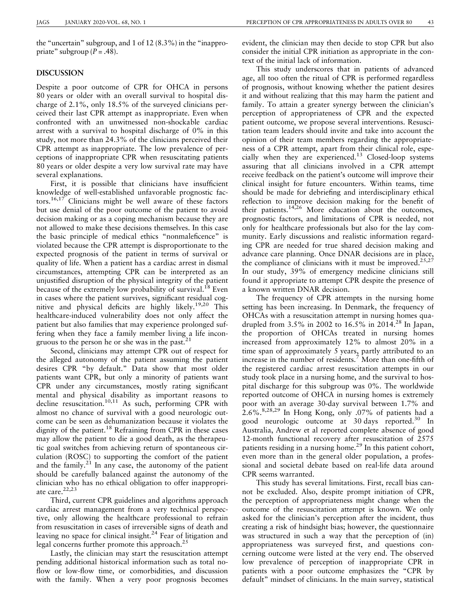the "uncertain" subgroup, and 1 of 12 (8.3%) in the "inappropriate" subgroup  $(P = .48)$ .

## DISCUSSION

Despite a poor outcome of CPR for OHCA in persons 80 years or older with an overall survival to hospital discharge of 2.1%, only 18.5% of the surveyed clinicians perceived their last CPR attempt as inappropriate. Even when confronted with an unwitnessed non-shockable cardiac arrest with a survival to hospital discharge of 0% in this study, not more than 24.3% of the clinicians perceived their CPR attempt as inappropriate. The low prevalence of perceptions of inappropriate CPR when resuscitating patients 80 years or older despite a very low survival rate may have several explanations.

First, it is possible that clinicians have insufficient knowledge of well-established unfavorable prognostic factors.16,17 Clinicians might be well aware of these factors but use denial of the poor outcome of the patient to avoid decision making or as a coping mechanism because they are not allowed to make these decisions themselves. In this case the basic principle of medical ethics "nonmaleficence" is violated because the CPR attempt is disproportionate to the expected prognosis of the patient in terms of survival or quality of life. When a patient has a cardiac arrest in dismal circumstances, attempting CPR can be interpreted as an unjustified disruption of the physical integrity of the patient because of the extremely low probability of survival.<sup>18</sup> Even in cases where the patient survives, significant residual cognitive and physical deficits are highly likely.19,20 This healthcare-induced vulnerability does not only affect the patient but also families that may experience prolonged suffering when they face a family member living a life incongruous to the person he or she was in the past.<sup>21</sup>

Second, clinicians may attempt CPR out of respect for the alleged autonomy of the patient assuming the patient desires CPR "by default." Data show that most older patients want CPR, but only a minority of patients want CPR under any circumstances, mostly rating significant mental and physical disability as important reasons to decline resuscitation.<sup>10,11</sup> As such, performing CPR with almost no chance of survival with a good neurologic outcome can be seen as dehumanization because it violates the dignity of the patient.<sup>18</sup> Refraining from CPR in these cases may allow the patient to die a good death, as the therapeutic goal switches from achieving return of spontaneous circulation (ROSC) to supporting the comfort of the patient and the family. $2^1$  In any case, the autonomy of the patient should be carefully balanced against the autonomy of the clinician who has no ethical obligation to offer inappropriate care.<sup>22,23</sup>

Third, current CPR guidelines and algorithms approach cardiac arrest management from a very technical perspective, only allowing the healthcare professional to refrain from resuscitation in cases of irreversible signs of death and leaving no space for clinical insight. $24$  Fear of litigation and legal concerns further promote this approach. $^{25}$ 

Lastly, the clinician may start the resuscitation attempt pending additional historical information such as total noflow or low-flow time, or comorbidities, and discussion with the family. When a very poor prognosis becomes

evident, the clinician may then decide to stop CPR but also consider the initial CPR initiation as appropriate in the context of the initial lack of information.

This study underscores that in patients of advanced age, all too often the ritual of CPR is performed regardless of prognosis, without knowing whether the patient desires it and without realizing that this may harm the patient and family. To attain a greater synergy between the clinician's perception of appropriateness of CPR and the expected patient outcome, we propose several interventions. Resuscitation team leaders should invite and take into account the opinion of their team members regarding the appropriateness of a CPR attempt, apart from their clinical role, especially when they are experienced.<sup>13</sup> Closed-loop systems assuring that all clinicians involved in a CPR attempt receive feedback on the patient's outcome will improve their clinical insight for future encounters. Within teams, time should be made for debriefing and interdisciplinary ethical reflection to improve decision making for the benefit of their patients.<sup>14,26</sup> More education about the outcomes, prognostic factors, and limitations of CPR is needed, not only for healthcare professionals but also for the lay community. Early discussions and realistic information regarding CPR are needed for true shared decision making and advance care planning. Once DNAR decisions are in place, the compliance of clinicians with it must be improved.<sup>25,27</sup> In our study, 39% of emergency medicine clinicians still found it appropriate to attempt CPR despite the presence of a known written DNAR decision.

The frequency of CPR attempts in the nursing home setting has been increasing. In Denmark, the frequency of OHCAs with a resuscitation attempt in nursing homes quadrupled from  $3.5\%$  in 2002 to  $16.5\%$  in 2014.<sup>28</sup> In Japan, the proportion of OHCAs treated in nursing homes increased from approximately 12% to almost 20% in a time span of approximately 5 years, partly attributed to an increase in the number of residents.<sup>7</sup> More than one-fifth of the registered cardiac arrest resuscitation attempts in our study took place in a nursing home, and the survival to hospital discharge for this subgroup was 0%. The worldwide reported outcome of OHCA in nursing homes is extremely poor with an average 30-day survival between 1.7% and 2.6%.8,28,29 In Hong Kong, only .07% of patients had a good neurologic outcome at 30 days reported.<sup>30</sup> In Australia, Andrew et al reported complete absence of good 12-month functional recovery after resuscitation of 2575 patients residing in a nursing home.<sup>29</sup> In this patient cohort, even more than in the general older population, a professional and societal debate based on real-life data around CPR seems warranted.

This study has several limitations. First, recall bias cannot be excluded. Also, despite prompt initiation of CPR, the perception of appropriateness might change when the outcome of the resuscitation attempt is known. We only asked for the clinician's perception after the incident, thus creating a risk of hindsight bias; however, the questionnaire was structured in such a way that the perception of (in) appropriateness was surveyed first, and questions concerning outcome were listed at the very end. The observed low prevalence of perception of inappropriate CPR in patients with a poor outcome emphasizes the "CPR by default" mindset of clinicians. In the main survey, statistical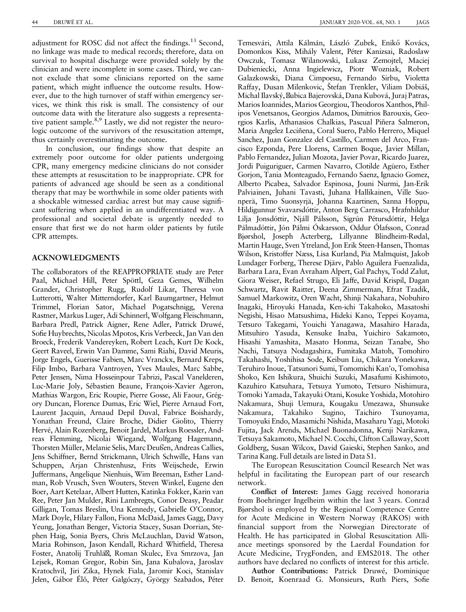adjustment for ROSC did not affect the findings.<sup>13</sup> Second, no linkage was made to medical records; therefore, data on survival to hospital discharge were provided solely by the clinician and were incomplete in some cases. Third, we cannot exclude that some clinicians reported on the same patient, which might influence the outcome results. However, due to the high turnover of staff within emergency services, we think this risk is small. The consistency of our outcome data with the literature also suggests a representative patient sample.<sup>8,9</sup> Lastly, we did not register the neurologic outcome of the survivors of the resuscitation attempt, thus certainly overestimating the outcome.

In conclusion, our findings show that despite an extremely poor outcome for older patients undergoing CPR, many emergency medicine clinicians do not consider these attempts at resuscitation to be inappropriate. CPR for patients of advanced age should be seen as a conditional therapy that may be worthwhile in some older patients with a shockable witnessed cardiac arrest but may cause significant suffering when applied in an undifferentiated way. A professional and societal debate is urgently needed to ensure that first we do not harm older patients by futile CPR attempts.

# ACKNOWLEDGMENTS

The collaborators of the REAPPROPRIATE study are Peter Paal, Michael Hill, Peter Spöttl, Geza Gemes, Wilhelm Grander, Christopher Rugg, Rudolf Likar, Theresa von Lutterotti, Walter Mitterndorfer, Karl Baumgartner, Helmut Trimmel, Florian Sator, Michael Pogatschnigg, Verena Rastner, Markus Luger, Adi Schinnerl, Wolfgang Fleischmann, Barbara Predl, Patrick Aigner, Rene Adler, Patrick Druwé, Sofie Huybrechts, Nicolas Mpotos, Kris Verbeeck, Jan Van den Broeck, Frederik Vandereyken, Robert Leach, Kurt De Kock, Geert Raveel, Erwin Van Damme, Sami Riahi, David Meuris, Jorge Engels, Guerisse Fabien, Marc Vranckx, Bernard Kreps, Filip Imbo, Barbara Vantroyen, Yves Maules, Marc Sabbe, Peter Jensen, Nima Hosseinpour Tabrizi, Pascal Vanelderen, Luc-Marie Joly, Sébastien Beaune, François-Xavier Ageron, Mathias Wargon, Eric Roupie, Pierre Gosse, Ali Faour, Grégory Duncan, Florence Dumas, Eric Wiel, Pierre Arnaud Fort, Laurent Jacquin, Arnaud Depil Duval, Fabrice Boishardy, Yonathan Freund, Claire Broche, Didier Giolito, Thierry Hervé, Alain Rozenberg, Benoit Jardel, Markus Roessler, Andreas Flemming, Nicolai Wiegand, Wolfgang Hagemann, Thorsten Müller, Melanie Selis, Marc Deußen, Andreas Callies, Jens Schiffner, Bernd Strickmann, Ulrich Schwille, Hans van Schuppen, Arjan Christenhusz, Frits Weijschede, Erwin Juffermans, Angelique Nienhuis, Wim Breeman, Esther Landman, Rob Vrusch, Sven Wouters, Steven Winkel, Eugene den Boer, Aart Ketelaar, Albert Hutten, Katinka Fokker, Karin van Ree, Peter Jan Mulder, Rini Lambregts, Conor Deasy, Peadar Gilligan, Tomas Breslin, Una Kennedy, Gabrielle O'Connor, Mark Doyle, Hilary Fallon, Fiona McDaid, James Gagg, Davy Yeung, Jonathan Benger, Victoria Stacey, Susan Dorrian, Stephen Haig, Sonia Byers, Chris McLauchlan, David Watson, Maria Robinson, Jason Kendall, Richard Whitfield, Theresa Foster, Anatolij Truhlář, Roman Skulec, Eva Smrzova, Jan Lejsek, Roman Gregor, Robin Sin, Jana Kubalova, Jaroslav Kratochvil, Jiri Zika, Hynek Fiala, Jaromir Koci, Stanislav Jelen, Gábor Élő, Péter Galgóczy, György Szabados, Péter

Temesvári, Attila Kálmán, László Zubek, Enikő Kovács, Domonkos Kiss, Mihály Valent, Péter Kanizsai, Radoslaw Owczuk, Tomasz Wilanowski, Lukasz Zemojtel, Maciej Dubieniecki, Anna Ingielewicz, Piotr Wozniak, Robert Galazkowski, Diana Cimpoesu, Fernando Sirbu, Violetta Raffay, Dusan Milenkovic, Štefan Trenkler, Viliam Dobiáš, Michal Ilavský, <sub>Kubica</sub> Bajerovská, Dana Kubová, Juraj Patras, Marios Ioannides, Marios Georgiou, Theodoros Xanthos, Philipos Venetsanos, Georgios Adamos, Dimitrios Barouxis, Georgios Karlis, Athanasios Chalkias, Pascual Piñera Salmeron, Maria Angelez Leciñena, Coral Suero, Pablo Herrero, Miquel Sanchez, Juan Gonzalez del Castillo, Carmen del Arco, Francisco Ezponda, Pere Llorens, Carmen Boque, Javier Millan, Pablo Fernandez, Julian Mozota, Javier Povar, Ricardo Juarez, Jordi Puiguriguer, Carmen Navarro, Clotilde Agüero, Esther Gorjon, Tania Monteagudo, Fernando Saenz, Ignacio Gomez, Alberto Picabea, Salvador Espinosa, Jouni Nurmi, Jan-Erik Palviainen, Juhani Tavasti, Juhana Hallikainen, Ville Suonperä, Timo Suonsyrjä, Johanna Kaartinen, Sanna Hoppu, Hildigunnur Svavarsdóttir, Anton Berg Carrasco, Hrafnhildur Lilja Jonsdóttir, Njáll Pálsson, Sigrún Pétursdóttir, Helga Pálmadóttir, Jón Pálmi Óskarsson, Oddur Ólafsson, Conrad Bjørshol, Joseph Acterberg, Lillyanne Blindheim-Rødal, Martin Hauge, Sven Ytreland, Jon Erik Steen-Hansen, Thomas Wilson, Kristoffer Næss, Lisa Kurland, Pia Malmquist, Jakob Lundager Forberg, Therese Djärv, Pablo Aguilera Fuenzalida, Barbara Lara, Evan Avraham Alpert, Gal Pachys, Todd Zalut, Giora Weiser, Refael Strugo, Eli Jaffe, David Krispil, Dagan Schwartz, Ravit Raitter, Deena Zimmerman, Efrat Tzadik, Samuel Markowitz, Oren Wacht, Shinji Nakahara, Nobuhiro Inagaki, Hiroyuki Hanada, Ken-ichi Takahoko, Masatoshi Negishi, Hisao Matsushima, Hideki Kano, Teppei Koyama, Tetsuro Takegami, Youichi Yanagawa, Masahiro Harada, Mitsuhiro Yasuda, Kensuke Inaba, Yuichiro Sakamoto, Hisashi Yamashita, Masato Honma, Seizan Tanabe, Sho Nachi, Tatsuya Nodagashira, Fumitaka Matoh, Tomohiro Takahashi, Yoshihisa Sode, Keibun Liu, Chikara Yonekawa, Teruhiro Inoue, Tatsunori Sumi, Tomomichi Kan'o, Tomohisa Shoko, Ken Ishikura, Shuichi Suzuki, Masafumi Kishimoto, Kazuhiro Katsuhara, Tetsuya Yumoto, Tetsuro Nishimura, Tomoki Yamada, Takayuki Otani, Kosuke Yoshida, Motohiro Nakamura, Shuji Uemura, Kougaku Umezawa, Shunsuke Nakamura, Takahiko Sugino, Taichiro Tsunoyama, Tomoyuki Endo, Masamichi Nishida, Masaharu Yagi, Motoki Fujita, Jack Arends, Michael Buonadonna, Kenji Narikawa, Tetsuya Sakamoto, Michael N. Cocchi, Clifton Callaway, Scott Goldberg, Susan Wilcox, David Gaieski, Stephen Sanko, and Tarina Kang. Full details are listed in Data S1.

The European Resuscitation Council Research Net was helpful in facilitating the European part of our research network.

Conflict of Interest: James Gagg received honoraria from Boehringer Ingelheim within the last 3 years. Conrad Bjørshol is employed by the Regional Competence Centre for Acute Medicine in Western Norway (RAKOS) with financial support from the Norwegian Directorate of Health. He has participated in Global Resuscitation Alliance meetings sponsored by the Laerdal Foundation for Acute Medicine, TrygFonden, and EMS2018. The other authors have declared no conflicts of interest for this article.

Author Contributions: Patrick Druwé, Dominique D. Benoit, Koenraad G. Monsieurs, Ruth Piers, Sofie